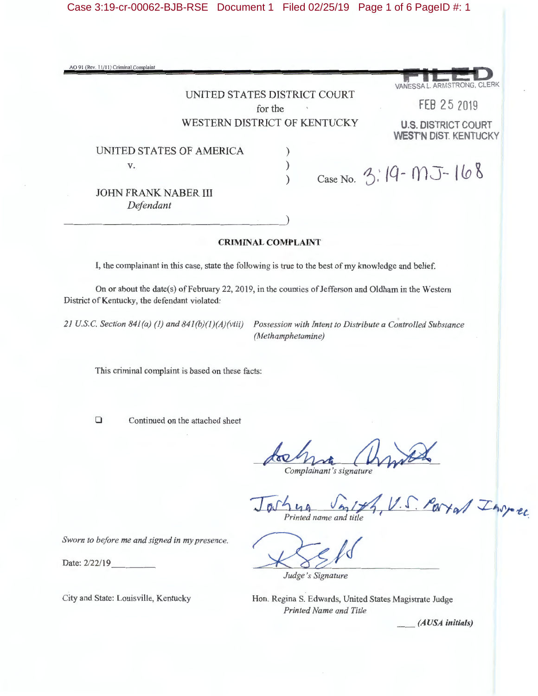Case 3:19-cr-00062-BJB-RSE Document 1 Filed 02/25/19 Page 1 of 6 PageID #: 1

| AO 91 (Rev. 11/11) Criminal Complaint                                                                |                                                                                                            |
|------------------------------------------------------------------------------------------------------|------------------------------------------------------------------------------------------------------------|
|                                                                                                      | VANESSA L. ARMSTRONG, CLERK                                                                                |
|                                                                                                      | UNITED STATES DISTRICT COURT<br>FEB 25 2019                                                                |
|                                                                                                      | for the<br>WESTERN DISTRICT OF KENTUCKY<br><b>U.S. DISTRICT COURT</b>                                      |
| UNITED STATES OF AMERICA                                                                             | <b>WEST'N DIST. KENTUCKY</b>                                                                               |
| V.                                                                                                   | $\big)$                                                                                                    |
|                                                                                                      | Case No. 3:19 - MJ - 168                                                                                   |
| <b>JOHN FRANK NABER III</b><br>Defendant                                                             |                                                                                                            |
|                                                                                                      |                                                                                                            |
| <b>CRIMINAL COMPLAINT</b>                                                                            |                                                                                                            |
| I, the complainant in this case, state the following is true to the best of my knowledge and belief. |                                                                                                            |
| District of Kentucky, the defendant violated:                                                        | On or about the date(s) of February 22, 2019, in the counties of Jefferson and Oldham in the Western       |
| 21 U.S.C. Section 841(a) (1) and 841(b)(1)(A)(viii)                                                  | Possession with Intent to Distribute a Controlled Substance<br>(Methamphetamine)                           |
| This criminal complaint is based on these facts:                                                     |                                                                                                            |
| $\Box$<br>Continued on the attached sheet                                                            |                                                                                                            |
|                                                                                                      | Complainant's signature                                                                                    |
|                                                                                                      | U.S. Partel Invec<br>Printed name and title                                                                |
| Sworn to before me and signed in my presence.                                                        |                                                                                                            |
| Date: 2/22/19                                                                                        | Judge's Signature                                                                                          |
| City and State: Louisville, Kentucky                                                                 | Hon. Regina S. Edwards, United States Magistrate Judge<br><b>Printed Name and Title</b><br>(AUSA initials) |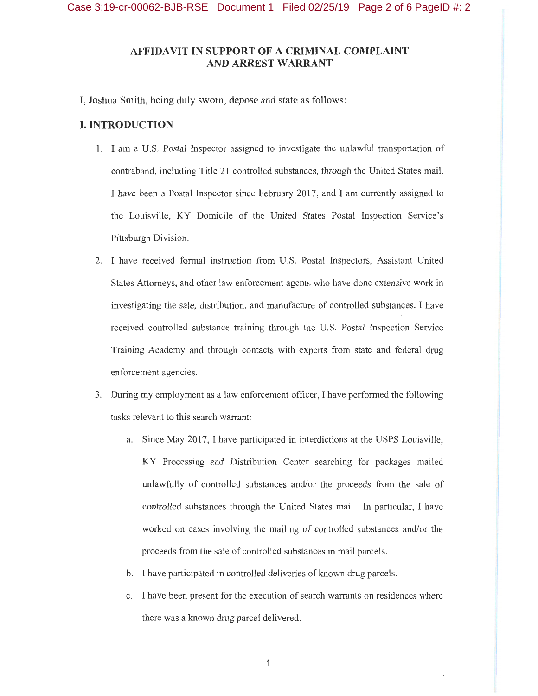# **AFFIDAVIT IN SUPPORT OF A CRIMINAL COMPLAINT AND ARREST WARRANT**

I, Joshua Smith, being duly sworn, depose and state as follows:

### **I. INTRODUCTION**

- 1. I am a U.S. Postal Inspector assigned to investigate the unlawful transportation of contraband, including Title 21 controlled substances, through the United States mail. I have been a Postal Inspector since February 2017, and I am currently assigned to the Louisville, KY Domicile of the United States Postal Inspection Service's Pittsburgh Division.
- 2. I have received formal instruction from U.S. Postal Inspectors, Assistant United States Attorneys, and other law enforcement agents who have done extensive work in investigating the sale, distribution, and manufacture of controlled substances. I have received controlled substance training through the U.S. Postal Inspection Service Training Academy and through contacts with experts from state and federal drug enforcement agencies.
- 3. During my employment as a law enforcement officer, I have performed the following tasks relevant to this search warrant:
	- a. Since May 2017, I have participated in interdictions at the USPS Louisville, **KY** Processing and Distribution Center searching for packages mailed unlawfully of controlled substances and/or the proceeds from the sale of controlled substances through the United States mail. In particular, I have worked on cases involving the mailing of controlled substances and/or the proceeds from the sale of controlled substances in mail parcels.
	- b. I have participated in controlled deliveries of known drug parcels.
	- c. I have been present for the execution of search warrants on residences where there was a known drug parcel delivered.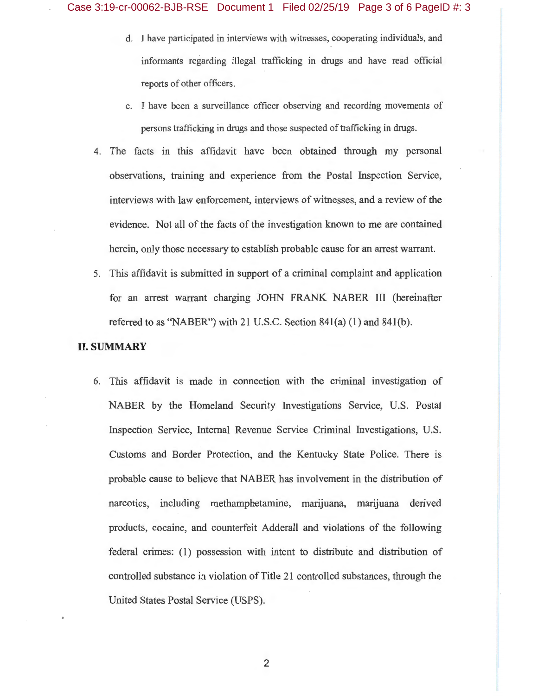- d. I have participated in interviews with witnesses, cooperating individuals, and informants regarding illegal trafficking in drugs and have read official reports of other officers.
- e. I have been a surveillance officer observing and recording movements of persons trafficking in drugs and those suspected of trafficking in drugs.
- 4. The facts in this affidavit have been obtained through my personal observations, training and experience from the Postal Inspection Service, interviews with law enforcement, interviews of witnesses, and a review of the evidence. Not all of the facts of the investigation known to me are contained herein, only those necessary to establish probable cause for an arrest warrant.
- 5. This affidavit is submitted in support of a criminal complaint and application for an arrest warrant charging JOHN FRANK NABER III (hereinafter referred to as "NABER") with 21 U.S.C. Section 841(a) (1) and 841(b).

## **II. SUMMARY**

6. This affidavit is made in connection with the criminal investigation of NABER by the Homeland Security Investigations Service, U.S. Postal Inspection Service, Internal Revenue Service Criminal Investigations, U.S. Customs and Border Protection, and the Kentucky State Police. There is probable cause to believe that NABER has involvement in the distribution of narcotics, including methamphetamine, marijuana, marijuana derived products, cocaine, and counterfeit Adderall and violations of the following federal crimes: (1) possession with intent to distribute and distribution of controlled substance in violation of Title 21 controlled substances, through the United States Postal Service (USPS).

2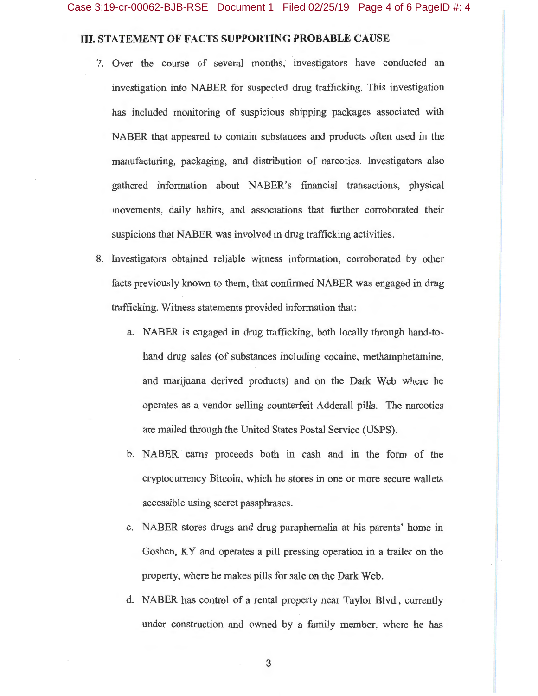## **III. STATEMENT OF FACTS SUPPORTING PROBABLE CAUSE**

- 7. Over the course of several months, investigators have conducted an investigation into NABER for suspected drug trafficking. This investigation has included monitoring of suspicious shipping packages associated with NABER that appeared to contain substances and products often used in the manufacturing, packaging, and distribution of narcotics. Investigators also gathered information about NABER's financial transactions, physical movements, daily habits, and associations that further corroborated their suspicions that NABER was involved in drug trafficking activities.
- 8. Investigators obtained reliable witness information, corroborated by other facts previously known to them, that confirmed NABER was engaged in drug trafficking. Witness statements provided information that:
	- a. NABER is engaged in drug trafficking, both locally through hand-tohand drug sales (of substances including cocaine, methamphetamine, and marijuana derived products) and on the Dark Web where he operates as a vendor selling counterfeit Adderall pills. The narcotics are mailed through the United States Postal Service (USPS).
	- b. NABER earns proceeds both in cash and in the form of the cryptocurrency Bitcoin, which he stores in one or more secure wallets accessible using secret passphrases.
	- c. NABER stores drugs and drug paraphernalia at his parents' home in Goshen, KY and operates a pill pressing operation in a trailer on the property, where he makes pills for sale on the Dark Web.
	- d. NABER has control of a rental property near Taylor Blvd., currently under construction and owned by a family member, where he has

3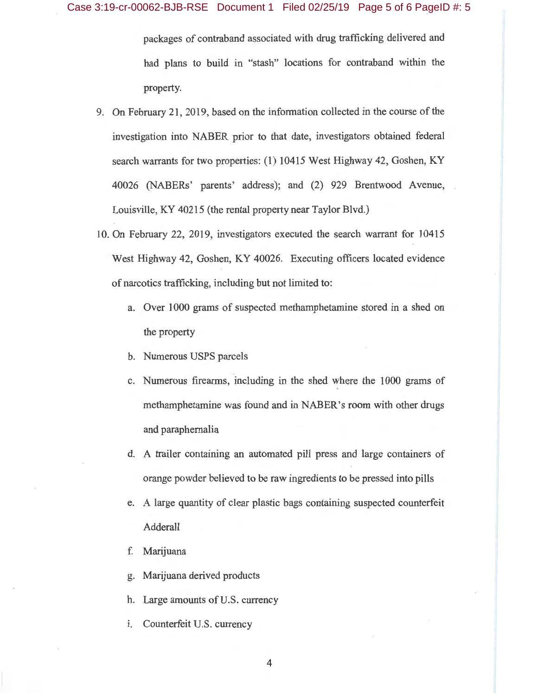packages of contraband associated with drug trafficking delivered and had plans to build in "stash" locations for contraband within the property.

- 9. On February 21, 2019, based on the information collected in the course of the investigation into NABER prior to that date, investigators obtained federal search warrants for two properties: (1) 10415 West Highway 42, Goshen, KY 40026 (NABERs' parents' address); and (2) 929 Brentwood Avenue, Louisville, KY 40215 (the rental property near Taylor Blvd.)
- 10. On February 22, 2019, investigators executed the search warrarit for 10415 West Highway 42, Goshen, KY 40026. Executing officers located evidence of narcotics trafficking, including but not limited to:
	- a. Over 1000 grams of suspected methamphetamine stored in a shed on the property
	- b. Numerous USPS parcels
	- c. Numerous firearms, including in the shed where the 1000 grams of methamphetamine was found and in NABER's room with other drugs and paraphernalia
	- d. A trailer containing an automated pill press and large containers of orange powder believed to be raw ingredients to be pressed into pills
	- e. A large quantity of clear plastic bags containing suspected counterfeit Adderall
	- f. Marijuana
	- g. Marijuana derived products
	- h. Large amounts of U.S. currency
	- 1. Counterfeit U.S. currency